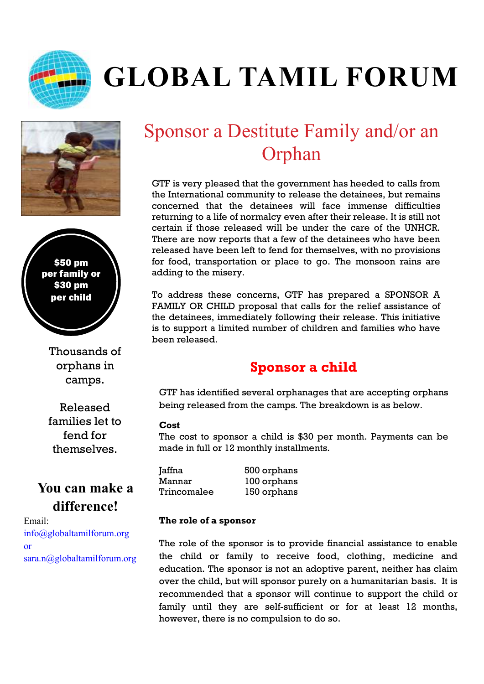

# **GLOBAL TAMIL FORUM**



\$50 pm per family or \$30 pm per child

> Thousands of orphans in camps.

> Released families let to fend for themselves.

## **You can make a difference!**

Email: info@globaltamilforum.org or sara.n@globaltamilforum.org

# Sponsor a Destitute Family and/or an Orphan

GTF is very pleased that the government has heeded to calls from the International community to release the detainees, but remains concerned that the detainees will face immense difficulties returning to a life of normalcy even after their release. It is still not certain if those released will be under the care of the UNHCR. There are now reports that a few of the detainees who have been released have been left to fend for themselves, with no provisions for food, transportation or place to go. The monsoon rains are adding to the misery.

To address these concerns, GTF has prepared a SPONSOR A FAMILY OR CHILD proposal that calls for the relief assistance of the detainees, immediately following their release. This initiative is to support a limited number of children and families who have been released.

### **Sponsor a child**

GTF has identified several orphanages that are accepting orphans being released from the camps. The breakdown is as below.

#### **Cost**

The cost to sponsor a child is \$30 per month. Payments can be made in full or 12 monthly installments.

Jaffna 500 orphans Mannar 100 orphans Trincomalee 150 orphans

#### **The role of a sponsor**

The role of the sponsor is to provide financial assistance to enable the child or family to receive food, clothing, medicine and education. The sponsor is not an adoptive parent, neither has claim over the child, but will sponsor purely on a humanitarian basis. It is recommended that a sponsor will continue to support the child or family until they are self-sufficient or for at least 12 months, however, there is no compulsion to do so.